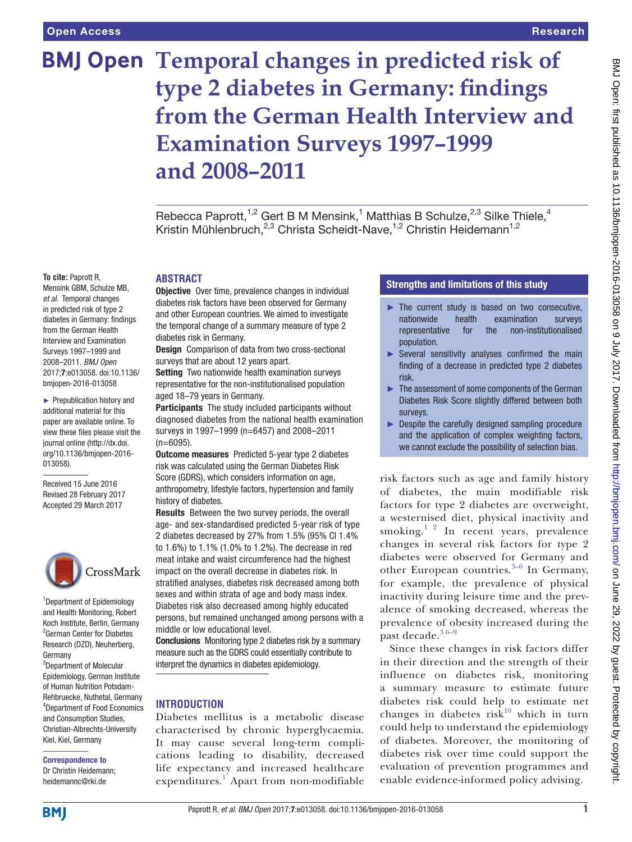# **BMJ Open Temporal changes in predicted risk of type 2 diabetes in Germany: findings from the German Health Interview and Examination Surveys 1997–1999 and 2008–2011**

Rebecca Paprott,<sup>1,2</sup> Gert B M Mensink,<sup>1</sup> Matthias B Schulze,<sup>2,3</sup> Silke Thiele,<sup>4</sup> Kristin Mühlenbruch,<sup>2,3</sup> Christa Scheidt-Nave,<sup>1,2</sup> Christin Heidemann<sup>1,2</sup>

#### **To cite:** Paprott R,

Mensink GBM, Schulze MB, *et al*. Temporal changes in predicted risk of type 2 diabetes in Germany: findings from the German Health Interview and Examination Surveys 1997–1999 and 2008–2011. *BMJ Open* 2017;7:e013058. doi:10.1136/ bmjopen-2016-013058

► Prepublication history and additional material for this paper are available online. To view these files please visit the journal online [\(http://dx.doi.](http://dx.doi.org/10.1136/bmjopen-2016-013058) [org/10.1136/bmjopen-2016-](http://dx.doi.org/10.1136/bmjopen-2016-013058) [013058\)](http://dx.doi.org/10.1136/bmjopen-2016-013058).

Received 15 June 2016 Revised 28 February 2017 Accepted 29 March 2017



1 Department of Epidemiology and Health Monitoring, Robert Koch Institute, Berlin, Germany 2 German Center for Diabetes Research (DZD), Neuherberg, Germany

3 Department of Molecular Epidemiology, German Institute of Human Nutrition Potsdam-Rehbruecke, Nuthetal, Germany 4 Department of Food Economics and Consumption Studies, Christian-Albrechts-University Kiel, Kiel, Germany

#### Correspondence to Dr Christin Heidemann; heidemannc@rki.de

surveys that are about 12 years apart. Setting Two nationwide health examination surveys representative for the non-institutionalised population aged 18–79 years in Germany.

diabetes risk in Germany.

**Abstract**

Participants The study included participants without diagnosed diabetes from the national health examination surveys in 1997–1999 (n=6457) and 2008–2011 (n=6095).

**Objective** Over time, prevalence changes in individual diabetes risk factors have been observed for Germany and other European countries. We aimed to investigate the temporal change of a summary measure of type 2

Design Comparison of data from two cross-sectional

Outcome measures Predicted 5-year type 2 diabetes risk was calculated using the German Diabetes Risk Score (GDRS), which considers information on age, anthropometry, lifestyle factors, hypertension and family history of diabetes.

Results Between the two survey periods, the overall age- and sex-standardised predicted 5-year risk of type 2 diabetes decreased by 27% from 1.5% (95% CI 1.4% to 1.6%) to 1.1% (1.0% to 1.2%). The decrease in red meat intake and waist circumference had the highest impact on the overall decrease in diabetes risk. In stratified analyses, diabetes risk decreased among both sexes and within strata of age and body mass index. Diabetes risk also decreased among highly educated persons, but remained unchanged among persons with a middle or low educational level.

Conclusions Monitoring type 2 diabetes risk by a summary measure such as the GDRS could essentially contribute to interpret the dynamics in diabetes epidemiology.

# **Introduction**

Diabetes mellitus is a metabolic disease characterised by chronic hyperglycaemia. It may cause several long-term complications leading to disability, decreased life expectancy and increased healthcare expenditures.<sup>[1](#page-6-0)</sup> Apart from non-modifiable

## Strengths and limitations of this study

- ► The current study is based on two consecutive, nationwide health examination surveys representative for the non-institutionalised population.
- $\triangleright$  Several sensitivity analyses confirmed the main finding of a decrease in predicted type 2 diabetes risk.
- ► The assessment of some components of the German Diabetes Risk Score slightly differed between both surveys.
- ► Despite the carefully designed sampling procedure and the application of complex weighting factors, we cannot exclude the possibility of selection bias.

risk factors such as age and family history of diabetes, the main modifiable risk factors for type 2 diabetes are overweight, a westernised diet, physical inactivity and smoking.<sup>1</sup> <sup>2</sup> In recent years, prevalence changes in several risk factors for type 2 diabetes were observed for Germany and other European countries. $3-6$  In Germany, for example, the prevalence of physical inactivity during leisure time and the prevalence of smoking decreased, whereas the prevalence of obesity increased during the past decade. $36-9$ 

Since these changes in risk factors differ in their direction and the strength of their influence on diabetes risk, monitoring a summary measure to estimate future diabetes risk could help to estimate net changes in diabetes risk<sup>[10](#page-6-2)</sup> which in turn could help to understand the epidemiology of diabetes. Moreover, the monitoring of diabetes risk over time could support the evaluation of prevention programmes and enable evidence-informed policy advising.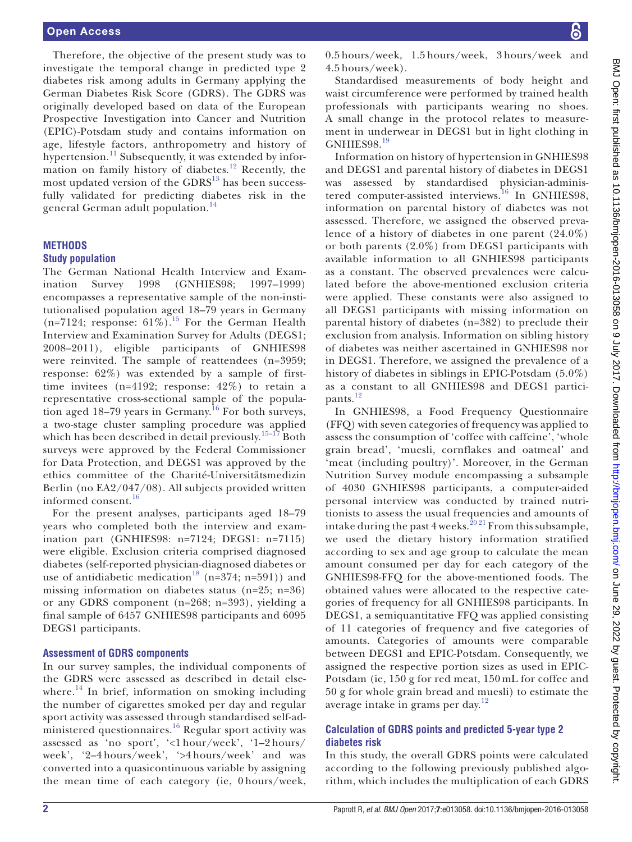Therefore, the objective of the present study was to investigate the temporal change in predicted type 2 diabetes risk among adults in Germany applying the German Diabetes Risk Score (GDRS). The GDRS was originally developed based on data of the European Prospective Investigation into Cancer and Nutrition (EPIC)-Potsdam study and contains information on age, lifestyle factors, anthropometry and history of hypertension.<sup>[11](#page-6-3)</sup> Subsequently, it was extended by information on family history of diabetes.[12](#page-6-4) Recently, the most updated version of the  $GDRS<sup>13</sup>$  has been successfully validated for predicting diabetes risk in the general German adult population.[14](#page-6-6)

# **Methods**

#### **Study population**

The German National Health Interview and Examination Survey 1998 (GNHIES98; 1997–1999) encompasses a representative sample of the non-institutionalised population aged 18–79 years in Germany (n=7124; response:  $61\%$ ).<sup>[15](#page-6-7)</sup> For the German Health Interview and Examination Survey for Adults (DEGS1; 2008–2011), eligible participants of GNHIES98 were reinvited. The sample of reattendees (n=3959; response: 62%) was extended by a sample of firsttime invitees (n=4192; response: 42%) to retain a representative cross-sectional sample of the population aged  $18-79$  years in Germany.<sup>16</sup> For both surveys, a two-stage cluster sampling procedure was applied which has been described in detail previously.<sup>[15–17](#page-6-7)</sup> Both surveys were approved by the Federal Commissioner for Data Protection, and DEGS1 was approved by the ethics committee of the Charité-Universitätsmedizin Berlin (no EA2/047/08). All subjects provided written informed consent.<sup>[16](#page-6-8)</sup>

For the present analyses, participants aged 18–79 years who completed both the interview and examination part (GNHIES98: n=7124; DEGS1: n=7115) were eligible. Exclusion criteria comprised diagnosed diabetes (self-reported physician-diagnosed diabetes or use of antidiabetic medication<sup>[18](#page-6-9)</sup> (n=374; n=591)) and missing information on diabetes status (n=25; n=36) or any GDRS component (n=268; n=393), yielding a final sample of 6457 GNHIES98 participants and 6095 DEGS1 participants.

#### **Assessment of GDRS components**

In our survey samples, the individual components of the GDRS were assessed as described in detail else-where.<sup>[14](#page-6-6)</sup> In brief, information on smoking including the number of cigarettes smoked per day and regular sport activity was assessed through standardised self-administered questionnaires.<sup>16</sup> Regular sport activity was assessed as 'no sport', '<1 hour/week', '1–2 hours/ week', '2–4 hours/week', '>4 hours/week' and was converted into a quasicontinuous variable by assigning the mean time of each category (ie, 0 hours/week,

0.5 hours/week, 1.5 hours/week, 3 hours/week and 4.5 hours/week).

Standardised measurements of body height and waist circumference were performed by trained health professionals with participants wearing no shoes. A small change in the protocol relates to measurement in underwear in DEGS1 but in light clothing in GNHIES98.[19](#page-6-10)

Information on history of hypertension in GNHIES98 and DEGS1 and parental history of diabetes in DEGS1 was assessed by standardised physician-administered computer-assisted interviews.<sup>16</sup> In GNHIES98, information on parental history of diabetes was not assessed. Therefore, we assigned the observed prevalence of a history of diabetes in one parent (24.0%) or both parents (2.0%) from DEGS1 participants with available information to all GNHIES98 participants as a constant. The observed prevalences were calculated before the above-mentioned exclusion criteria were applied. These constants were also assigned to all DEGS1 participants with missing information on parental history of diabetes (n=382) to preclude their exclusion from analysis. Information on sibling history of diabetes was neither ascertained in GNHIES98 nor in DEGS1. Therefore, we assigned the prevalence of a history of diabetes in siblings in EPIC-Potsdam (5.0%) as a constant to all GNHIES98 and DEGS1 partici-pants.<sup>[12](#page-6-4)</sup>

In GNHIES98, a Food Frequency Questionnaire (FFQ) with seven categories of frequency was applied to assess the consumption of 'coffee with caffeine', 'whole grain bread', 'muesli, cornflakes and oatmeal' and 'meat (including poultry)'. Moreover, in the German Nutrition Survey module encompassing a subsample of 4030 GNHIES98 participants, a computer-aided personal interview was conducted by trained nutritionists to assess the usual frequencies and amounts of intake during the past 4 weeks.<sup>2021</sup> From this subsample, we used the dietary history information stratified according to sex and age group to calculate the mean amount consumed per day for each category of the GNHIES98-FFQ for the above-mentioned foods. The obtained values were allocated to the respective categories of frequency for all GNHIES98 participants. In DEGS1, a semiquantitative FFQ was applied consisting of 11 categories of frequency and five categories of amounts. Categories of amounts were comparable between DEGS1 and EPIC-Potsdam. Consequently, we assigned the respective portion sizes as used in EPIC-Potsdam (ie, 150 g for red meat, 150 mL for coffee and 50 g for whole grain bread and muesli) to estimate the average intake in grams per day. $12$ 

## **Calculation of GDRS points and predicted 5-year type 2 diabetes risk**

In this study, the overall GDRS points were calculated according to the following previously published algorithm, which includes the multiplication of each GDRS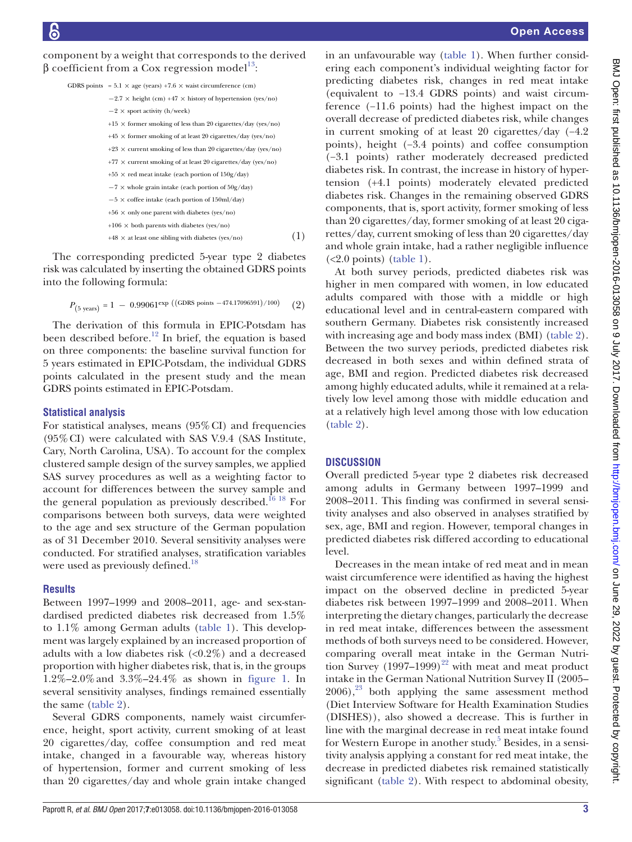component by a weight that corresponds to the derived β coefficient from a Cox regression model<sup>[13](#page-6-5)</sup>:

| GDRS points = $5.1 \times$ age (years) +7.6 $\times$ waist circumference (cm) |    |
|-------------------------------------------------------------------------------|----|
| $-2.7 \times$ height (cm) +47 $\times$ history of hypertension (yes/no)       |    |
| $-2 \times$ sport activity (h/week)                                           |    |
| $+15 \times$ former smoking of less than 20 cigarettes/day (yes/no)           |    |
| $+45 \times$ former smoking of at least 20 cigarettes/day (yes/no)            |    |
| $+23 \times$ current smoking of less than 20 cigarettes/day (yes/no)          |    |
| $+77 \times$ current smoking of at least 20 cigarettes/day (yes/no)           |    |
| $+55 \times$ red meat intake (each portion of $150g/day$ )                    |    |
| $-7 \times$ whole grain intake (each portion of $50g/day$ )                   |    |
| $-5 \times$ coffee intake (each portion of 150ml/day)                         |    |
| $+56 \times$ only one parent with diabetes (yes/no)                           |    |
| $+106 \times$ both parents with diabetes (yes/no)                             |    |
| $+48 \times$ at least one sibling with diabetes (yes/no)                      | 1) |

The corresponding predicted 5-year type 2 diabetes risk was calculated by inserting the obtained GDRS points into the following formula:

$$
P_{(5 \text{ years})} = 1 - 0.99061^{\exp} \left( (\text{GDRS points} - 474.17096591)/100 \right) \tag{2}
$$

The derivation of this formula in EPIC-Potsdam has been described before.<sup>[12](#page-6-4)</sup> In brief, the equation is based on three components: the baseline survival function for 5 years estimated in EPIC-Potsdam, the individual GDRS points calculated in the present study and the mean GDRS points estimated in EPIC-Potsdam.

#### **Statistical analysis**

For statistical analyses, means  $(95\% \text{ CI})$  and frequencies (95%CI) were calculated with SAS V.9.4 (SAS Institute, Cary, North Carolina, USA). To account for the complex clustered sample design of the survey samples, we applied SAS survey procedures as well as a weighting factor to account for differences between the survey sample and the general population as previously described.<sup>[16 18](#page-6-8)</sup> For comparisons between both surveys, data were weighted to the age and sex structure of the German population as of 31 December 2010. Several sensitivity analyses were conducted. For stratified analyses, stratification variables were used as previously defined.<sup>[18](#page-6-9)</sup>

#### **Results**

Between 1997–1999 and 2008–2011, age- and sex-standardised predicted diabetes risk decreased from 1.5% to 1.1% among German adults [\(table](#page-3-0) 1). This development was largely explained by an increased proportion of adults with a low diabetes risk  $\langle 0.2\% \rangle$  and a decreased proportion with higher diabetes risk, that is, in the groups 1.2%–2.0%and 3.3%–24.4% as shown in [figure](#page-4-0) 1. In several sensitivity analyses, findings remained essentially the same [\(table](#page-5-0) 2).

Several GDRS components, namely waist circumference, height, sport activity, current smoking of at least 20 cigarettes/day, coffee consumption and red meat intake, changed in a favourable way, whereas history of hypertension, former and current smoking of less than 20 cigarettes/day and whole grain intake changed

in an unfavourable way ([table](#page-3-0) 1). When further considering each component's individual weighting factor for predicting diabetes risk, changes in red meat intake (equivalent to −13.4 GDRS points) and waist circumference (−11.6 points) had the highest impact on the overall decrease of predicted diabetes risk, while changes in current smoking of at least 20 cigarettes/day (−4.2 points), height (−3.4 points) and coffee consumption (−3.1 points) rather moderately decreased predicted diabetes risk. In contrast, the increase in history of hypertension (+4.1 points) moderately elevated predicted diabetes risk. Changes in the remaining observed GDRS components, that is, sport activity, former smoking of less than 20 cigarettes/day, former smoking of at least 20 cigarettes/day, current smoking of less than 20 cigarettes/day and whole grain intake, had a rather negligible influence  $(<2.0$  points) [\(table](#page-3-0) 1).

At both survey periods, predicted diabetes risk was higher in men compared with women, in low educated adults compared with those with a middle or high educational level and in central-eastern compared with southern Germany. Diabetes risk consistently increased with increasing age and body mass index (BMI) ([table](#page-5-0) 2). Between the two survey periods, predicted diabetes risk decreased in both sexes and within defined strata of age, BMI and region. Predicted diabetes risk decreased among highly educated adults, while it remained at a relatively low level among those with middle education and at a relatively high level among those with low education [\(table](#page-5-0) 2).

#### **Discussion**

Overall predicted 5-year type 2 diabetes risk decreased among adults in Germany between 1997–1999 and 2008–2011. This finding was confirmed in several sensitivity analyses and also observed in analyses stratified by sex, age, BMI and region. However, temporal changes in predicted diabetes risk differed according to educational level.

Decreases in the mean intake of red meat and in mean waist circumference were identified as having the highest impact on the observed decline in predicted 5-year diabetes risk between 1997–1999 and 2008–2011. When interpreting the dietary changes, particularly the decrease in red meat intake, differences between the assessment methods of both surveys need to be considered. However, comparing overall meat intake in the German Nutrition Survey  $(1997-1999)^{22}$  with meat and meat product intake in the German National Nutrition Survey II (2005–  $(2006)$ ,<sup>23</sup> both applying the same assessment method (Diet Interview Software for Health Examination Studies (DISHES)), also showed a decrease. This is further in line with the marginal decrease in red meat intake found for Western Europe in another study.<sup>[5](#page-6-14)</sup> Besides, in a sensitivity analysis applying a constant for red meat intake, the decrease in predicted diabetes risk remained statistically significant ([table](#page-5-0) 2). With respect to abdominal obesity,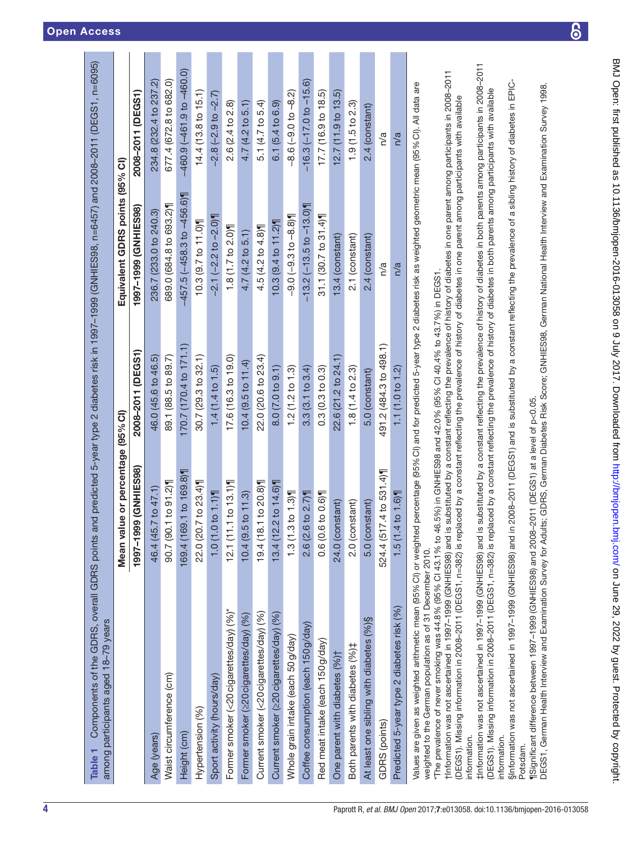| Components of the GDRS, overall GDRS points<br>among participants aged 18-79 years<br>Table 1                                                                                         |                                   |                        | and predicted 5-year type 2 diabetes risk in 1997-1999 (GNHIES98, n=6457) and 2008-2011 (DEGS1, n=6095) |                                 |
|---------------------------------------------------------------------------------------------------------------------------------------------------------------------------------------|-----------------------------------|------------------------|---------------------------------------------------------------------------------------------------------|---------------------------------|
|                                                                                                                                                                                       | Mean value or percentage (95% CI) |                        | Equivalent GDRS points (95% CI)                                                                         |                                 |
|                                                                                                                                                                                       | 1997-1999 (GNHIES98)              | 2008–2011 (DEGS1)      | 1997-1999 (GNHES98)                                                                                     | 2008–2011 (DEGS1)               |
| Age (years)                                                                                                                                                                           | 46.4 (45.7 to 47.1)               | 46.0 (45.6 to 46.5)    | 236.7 (233.0 to 240.3)                                                                                  | 234.8 (232.4 to 237.2)          |
| Waist circumference (cm)                                                                                                                                                              | 90.7 (90.1 to 91.2)               | 89.1 (88.5 to 89.7)    | 689.0 (684.8 to 693.2)¶                                                                                 | 677.4 (672.8 to 682.0)          |
| Height (cm)                                                                                                                                                                           | 69.1 to 169.8)<br>169.4 (1        | 170.7 (170.4 to 171.1) | $-457.5(-458.3 to -456.6)$                                                                              | $-460.9$ $(-461.9$ to $-460.0)$ |
| Hypertension (%)                                                                                                                                                                      | 22.0 (20.7 to 23.4)               | 30.7(29.3 to 32.1)     | 10.3 (9.7 to 11.0)                                                                                      | 14.4(13.8 to 15.1)              |
| Sport activity (hours/day)                                                                                                                                                            | 1.0(1.0 to 1.1)                   | 1.4(1.4 to 1.5)        | $-2.1(-2.2 \text{ to } -2.0)$                                                                           | $-2.8(-2.9$ to $-2.7$ )         |
| Former smoker (<20 cigarettes/day) (%)*                                                                                                                                               | 12.1(11.1 to 13.1)                | 17.6(16.3 to 19.0)     | $1.8(1.7)$ to $2.0$                                                                                     | 2.6(2.4 to 2.8)                 |
| Former smoker (220 cigarettes/day) (%)                                                                                                                                                | 10.4(9.5 to 11.3)                 | 10.4(9.5 to 11.4)      | 4.7 (4.2 to 5.1)                                                                                        | 4.7(4.2 to 5.1)                 |
| Current smoker (<20 cigarettes/day) (%)                                                                                                                                               | 8.1 to 20.8)<br>19.4(             | 22.0 (20.6 to 23.4)    | 4.5(4.2 to 4.8)                                                                                         | 5.1 (4.7 to 5.4)                |
| Current smoker (≥20 cigarettes/day) (%)                                                                                                                                               | 2.2 to 14.6)<br>13.4(1)           | 8.0(7.0 to 9.1)        | 10.3 (9.4 to 11.2)                                                                                      | 6.1(5.4 to 6.9)                 |
| Whole grain intake (each 50 g/day)                                                                                                                                                    | $.3 \text{ to } 1.3$<br>1.3(1)    | 1.2(1.2 to 1.3)        | $-9.0(-9.3 to -8.8)$                                                                                    | $-8.6(-9.010-8.2)$              |
| Coffee consumption (each 150 g/day)                                                                                                                                                   | 2.6 (2.6 to 2.7)                  | 3.3(3.1 to 3.4)        | $-13.2$ ( $-13.5$ to $-13.0$ )                                                                          | $-16.3(-17.0 to -15.6)$         |
| Red meat intake (each 150 g/day)                                                                                                                                                      | 0.6 (0.6 to 0.6)                  | 0.3(0.3 to 0.3)        | 31.1(30.7 to 31.4)                                                                                      | 17.7 (16.9 to 18.5)             |
| One parent with diabetes (%) <sup>+</sup>                                                                                                                                             | 24.0 (constant)                   | $22.6(21.2$ to $24.1)$ | 13.4 (constant)                                                                                         | 12.7(11.9 <sub>0</sub> 13.5)    |
| Both parents with diabetes (%)#                                                                                                                                                       | 2.0 (constant)                    | 1.8(1.4 to 2.3)        | 2.1 (constant)                                                                                          | 1.9(1.5 to 2.3)                 |
| At least one sibling with diabetes (%)§                                                                                                                                               | 5.0 (constant)                    | 5.0 (constant)         | 2.4 (constant)                                                                                          | 2.4 (constant)                  |
| GDRS (points)                                                                                                                                                                         | 524.4 (517.4 to 531.4)            | 491.2 (484.3 to 498.1) | n/a                                                                                                     | n/a                             |
| Predicted 5-year type 2 diabetes risk (%)                                                                                                                                             | $1.6$ 1.6)<br>1.5(1)              | 1.1 (1.0 to 1.2)       | n/a                                                                                                     | n/a                             |
| Values are given as weighted arithmetic mean (95% CI) or weighted percentage (95% CI) and for predicted 5-year type 2 diabetes risk as weighted geometric mean (95% CI). All data are |                                   |                        |                                                                                                         |                                 |

weighted to the German population as of 31 December 2010. weighted to the German population as of 31 December 2010.

The prevalence of never smoking was 44.8% (95% Cl 43.1% to 46.5%) in GNHIES98 and 42.0% (95% Cl 40.4% to 43.7%) in DEGS1. \*The prevalence of never smoking was 44.8% (95% CI 43.1% to 46.5%) in GNHIES98 and 42.0% (95% CI 40.4% to 43.7%) in DEGS1.

†Information was not ascertained in 1997–1999 (GNHIES98) and is substituted by a constant reflecting the prevalence of history of diabetes in one parent among participants in 2008–2011 Information was not ascertained in 1997-1999 (GNHIES988) and is substituted by a constant reflecting the prevalence of history of diabetes in one parent among participants in 2008-2011 DEGS1). Missing information in 2008–2011 (DEGS1, n=382) is replaced by a constant reflecting the prevalence of history of diabetes in one parent among participants with available (DEGS1). Missing information in 2008–2011 (DEGS1, n=382) is replaced by a constant reflecting the prevalence of history of diabetes in one parent among participants with available

‡Information was not ascertained in 1997–1999 (GNHIES98) and is substituted by a constant reflecting the prevalence of history of diabetes in both parents among participants in 2008–2011 thrformation was not ascertained in 1997-1999 (GNHIES98) and is substituted by a constant reflecting the prevalence of history of diabetes in both parents among participants in 2008-2011 DEGS1). Missing information in 2008–2011 (DEGS1, n=382) is replaced by a constant reflecting the prevalence of history of diabetes in both parents among participants with available (DEGS1). Missing information in 2008–2011 (DEGS1, n=382) is replaced by a constant reflecting the prevalence of history of diabetes in both parents among participants with available nformation. information.

nformation. information.

SInformation was not ascertained in 1997-1999 (GNHIES98) and in 2008-2011 (DEGS1) and is substituted by a constant reflecting the prevalence of a sibling history of diabetes in EPIC-§Information was not ascertained in 1997–1999 (GNHIES98) and in 2008–2011 (DEGS1) and is substituted by a constant reflecting the prevalence of a sibling history of diabetes in EPIC-Potsdam. Potsdam.

<span id="page-3-0"></span>Significant difference between 1997-1999 (GNHIES98) and 2008-2011 (DEGS1) at a level of p<0.05. ¶Significant difference between 1997–1999 (GNHIES98) and 2008–2011 (DEGS1) at a level of p<0.05.

DEGS1, German Health Interview and Examination Survey for Adults; GDRS, German Diabetes Risk Score; GNHIES98, German National Health Interview and Examination Survey 1998. DEGS1, German Health Interview and Examination Survey for Adults; GDRS, German Diabetes Risk Score; GNHIES98, German National Health Interview and Examination Survey 1998.

BMJ Open: first published as 10.1136/bmjopen-2016-013/058 on 9 July 2017. Downloaded from <http://bmjopen.bmj.com/> on June 29, 2022 by guest. Protected by copyright.

BMJ Open: first published as 10.1136/bmjopen-2016-013058 on 9 July 2017. Downloaded from http://bmjopen.bmj.com/ on June 29, 2022 by guest. Protected by copyright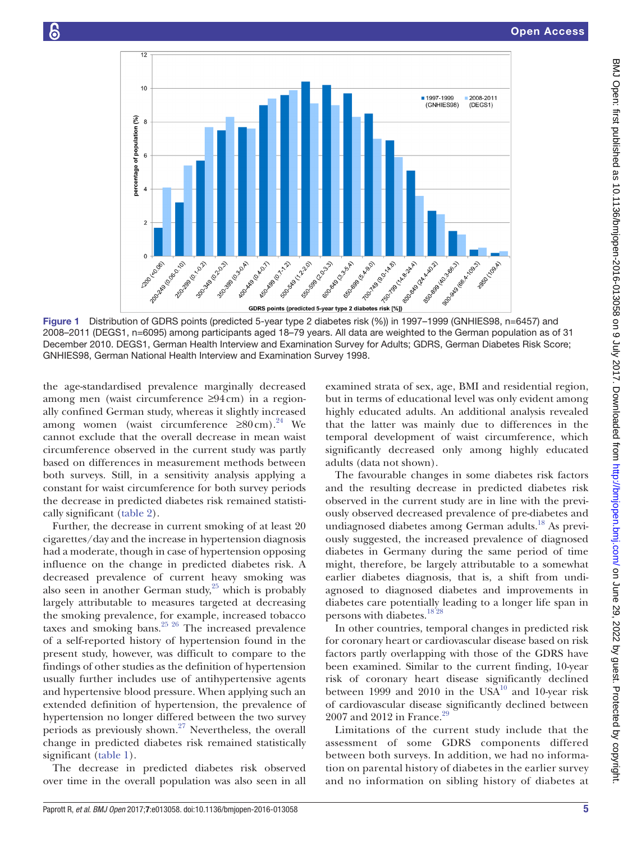

Figure 1 Distribution of GDRS points (predicted 5-year type 2 diabetes risk (%)) in 1997–1999 (GNHIES98, n=6457) and 2008–2011 (DEGS1, n=6095) among participants aged 18–79 years. All data are weighted to the German population as of 31 December 2010. DEGS1, German Health Interview and Examination Survey for Adults; GDRS, German Diabetes Risk Score; GNHIES98, German National Health Interview and Examination Survey 1998.

the age-standardised prevalence marginally decreased among men (waist circumference ≥94cm) in a regionally confined German study, whereas it slightly increased among women (waist circumference  $\geq 80 \text{ cm}$ ).<sup>24</sup> We cannot exclude that the overall decrease in mean waist circumference observed in the current study was partly based on differences in measurement methods between both surveys. Still, in a sensitivity analysis applying a constant for waist circumference for both survey periods the decrease in predicted diabetes risk remained statistically significant [\(table](#page-5-0) 2).

Further, the decrease in current smoking of at least 20 cigarettes/day and the increase in hypertension diagnosis had a moderate, though in case of hypertension opposing influence on the change in predicted diabetes risk. A decreased prevalence of current heavy smoking was also seen in another German study, $25$  which is probably largely attributable to measures targeted at decreasing the smoking prevalence, for example, increased tobacco taxes and smoking bans.<sup>25</sup> <sup>26</sup> The increased prevalence of a self-reported history of hypertension found in the present study, however, was difficult to compare to the findings of other studies as the definition of hypertension usually further includes use of antihypertensive agents and hypertensive blood pressure. When applying such an extended definition of hypertension, the prevalence of hypertension no longer differed between the two survey periods as previously shown[.27](#page-6-17) Nevertheless, the overall change in predicted diabetes risk remained statistically significant [\(table](#page-5-0) 1).

The decrease in predicted diabetes risk observed over time in the overall population was also seen in all <span id="page-4-0"></span>examined strata of sex, age, BMI and residential region, but in terms of educational level was only evident among highly educated adults. An additional analysis revealed that the latter was mainly due to differences in the temporal development of waist circumference, which significantly decreased only among highly educated adults (data not shown).

The favourable changes in some diabetes risk factors and the resulting decrease in predicted diabetes risk observed in the current study are in line with the previously observed decreased prevalence of pre-diabetes and undiagnosed diabetes among German adults.<sup>18</sup> As previously suggested, the increased prevalence of diagnosed diabetes in Germany during the same period of time might, therefore, be largely attributable to a somewhat earlier diabetes diagnosis, that is, a shift from undiagnosed to diagnosed diabetes and improvements in diabetes care potentially leading to a longer life span in persons with diabetes[.18 28](#page-6-9)

In other countries, temporal changes in predicted risk for coronary heart or cardiovascular disease based on risk factors partly overlapping with those of the GDRS have been examined. Similar to the current finding, 10-year risk of coronary heart disease significantly declined between 1999 and 2010 in the USA $^{10}$  and 10-year risk of cardiovascular disease significantly declined between 2007 and 2012 in France.<sup>[29](#page-6-18)</sup>

Limitations of the current study include that the assessment of some GDRS components differed between both surveys. In addition, we had no information on parental history of diabetes in the earlier survey and no information on sibling history of diabetes at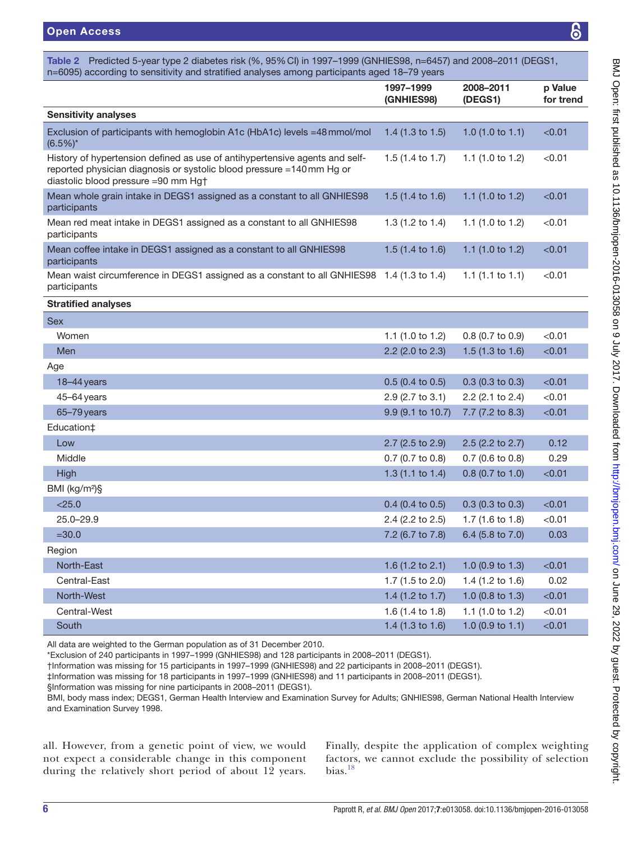<span id="page-5-0"></span>Table 2 Predicted 5-year type 2 diabetes risk (%, 95%CI) in 1997–1999 (GNHIES98, n=6457) and 2008–2011 (DEGS1, n=6095) according to sensitivity and stratified analyses among participants aged 18–79 years

| n=6095) according to sensitivity and stratified analyses among participants aged 18–79 years                                                                                               |                             |                             |                      |  |  |  |  |
|--------------------------------------------------------------------------------------------------------------------------------------------------------------------------------------------|-----------------------------|-----------------------------|----------------------|--|--|--|--|
|                                                                                                                                                                                            | 1997-1999<br>(GNHIES98)     | 2008-2011<br>(DEGS1)        | p Value<br>for trend |  |  |  |  |
| <b>Sensitivity analyses</b>                                                                                                                                                                |                             |                             |                      |  |  |  |  |
| Exclusion of participants with hemoglobin A1c (HbA1c) levels =48 mmol/mol<br>$(6.5\%)^*$                                                                                                   | 1.4 (1.3 to 1.5)            | 1.0 $(1.0 \text{ to } 1.1)$ | < 0.01               |  |  |  |  |
| History of hypertension defined as use of antihypertensive agents and self-<br>reported physician diagnosis or systolic blood pressure =140mm Hg or<br>diastolic blood pressure =90 mm Hg† | 1.5 (1.4 to 1.7)            | 1.1 $(1.0 to 1.2)$          | < 0.01               |  |  |  |  |
| Mean whole grain intake in DEGS1 assigned as a constant to all GNHIES98<br>participants                                                                                                    | 1.5 $(1.4 \text{ to } 1.6)$ | 1.1 (1.0 to 1.2)            | < 0.01               |  |  |  |  |
| Mean red meat intake in DEGS1 assigned as a constant to all GNHIES98<br>participants                                                                                                       | 1.3 $(1.2 \text{ to } 1.4)$ | 1.1 (1.0 to 1.2)            | < 0.01               |  |  |  |  |
| Mean coffee intake in DEGS1 assigned as a constant to all GNHIES98<br>participants                                                                                                         | 1.5 $(1.4 \text{ to } 1.6)$ | 1.1 $(1.0 to 1.2)$          | < 0.01               |  |  |  |  |
| Mean waist circumference in DEGS1 assigned as a constant to all GNHIES98 1.4 (1.3 to 1.4)<br>participants                                                                                  |                             | 1.1 $(1.1 \text{ to } 1.1)$ | < 0.01               |  |  |  |  |
| <b>Stratified analyses</b>                                                                                                                                                                 |                             |                             |                      |  |  |  |  |
| <b>Sex</b>                                                                                                                                                                                 |                             |                             |                      |  |  |  |  |
| Women                                                                                                                                                                                      | 1.1 (1.0 to 1.2)            | 0.8 (0.7 to 0.9)            | < 0.01               |  |  |  |  |
| Men                                                                                                                                                                                        | 2.2 (2.0 to 2.3)            | 1.5 $(1.3 \text{ to } 1.6)$ | < 0.01               |  |  |  |  |
| Age                                                                                                                                                                                        |                             |                             |                      |  |  |  |  |
| 18-44 years                                                                                                                                                                                | $0.5$ (0.4 to 0.5)          | $0.3$ (0.3 to 0.3)          | < 0.01               |  |  |  |  |
| $45 - 64$ years                                                                                                                                                                            | 2.9 (2.7 to 3.1)            | 2.2 (2.1 to 2.4)            | < 0.01               |  |  |  |  |
| 65-79 years                                                                                                                                                                                | 9.9 (9.1 to 10.7)           | 7.7 (7.2 to 8.3)            | < 0.01               |  |  |  |  |
| Education‡                                                                                                                                                                                 |                             |                             |                      |  |  |  |  |
| Low                                                                                                                                                                                        | 2.7 (2.5 to 2.9)            | 2.5 (2.2 to 2.7)            | 0.12                 |  |  |  |  |
| Middle                                                                                                                                                                                     | 0.7 (0.7 to 0.8)            | $0.7$ (0.6 to 0.8)          | 0.29                 |  |  |  |  |
| High                                                                                                                                                                                       | 1.3 $(1.1$ to 1.4)          | $0.8$ (0.7 to 1.0)          | < 0.01               |  |  |  |  |
| BMI (kg/m <sup>2</sup> )§                                                                                                                                                                  |                             |                             |                      |  |  |  |  |
| $<$ 25.0                                                                                                                                                                                   | $0.4$ (0.4 to 0.5)          | $0.3$ (0.3 to 0.3)          | < 0.01               |  |  |  |  |
| $25.0 - 29.9$                                                                                                                                                                              | 2.4 (2.2 to 2.5)            | 1.7 (1.6 to 1.8)            | < 0.01               |  |  |  |  |
| $=30.0$                                                                                                                                                                                    | 7.2 (6.7 to 7.8)            | 6.4 (5.8 to 7.0)            | 0.03                 |  |  |  |  |
| Region                                                                                                                                                                                     |                             |                             |                      |  |  |  |  |
| North-East                                                                                                                                                                                 | 1.6 (1.2 to 2.1)            | 1.0 $(0.9$ to 1.3)          | < 0.01               |  |  |  |  |
| Central-East                                                                                                                                                                               | 1.7 $(1.5 \text{ to } 2.0)$ | 1.4 $(1.2 \text{ to } 1.6)$ | 0.02                 |  |  |  |  |
| North-West                                                                                                                                                                                 | 1.4 (1.2 to 1.7)            | 1.0 (0.8 to 1.3)            | < 0.01               |  |  |  |  |
| Central-West                                                                                                                                                                               | 1.6 $(1.4 \text{ to } 1.8)$ | 1.1 $(1.0 to 1.2)$          | $<$ 0.01             |  |  |  |  |

All data are weighted to the German population as of 31 December 2010.

\*Exclusion of 240 participants in 1997–1999 (GNHIES98) and 128 participants in 2008–2011 (DEGS1).

†Information was missing for 15 participants in 1997–1999 (GNHIES98) and 22 participants in 2008–2011 (DEGS1).

‡Information was missing for 18 participants in 1997–1999 (GNHIES98) and 11 participants in 2008–2011 (DEGS1).

§Information was missing for nine participants in 2008–2011 (DEGS1).

BMI, body mass index; DEGS1, German Health Interview and Examination Survey for Adults; GNHIES98, German National Health Interview and Examination Survey 1998.

South 1.4 (1.3 to 1.6) 1.0 (0.9 to 1.1) <0.01

all. However, from a genetic point of view, we would not expect a considerable change in this component during the relatively short period of about 12 years.

Finally, despite the application of complex weighting factors, we cannot exclude the possibility of selection bias. $18$